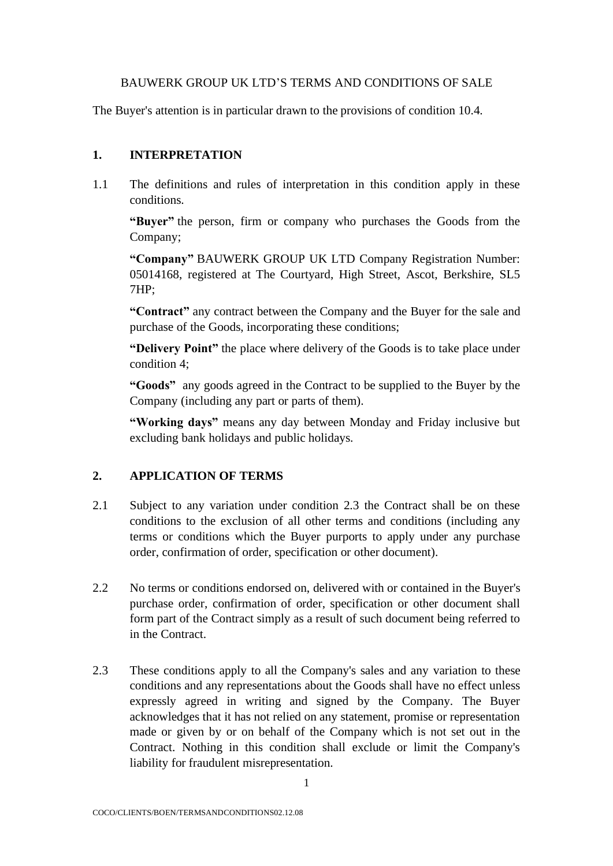#### BAUWERK GROUP UK LTD'S TERMS AND CONDITIONS OF SALE

The Buyer's attention is in particular drawn to the provisions of condition 10.4.

## **1. INTERPRETATION**

1.1 The definitions and rules of interpretation in this condition apply in these conditions.

**"Buyer"** the person, firm or company who purchases the Goods from the Company;

**"Company"** BAUWERK GROUP UK LTD Company Registration Number: 05014168, registered at The Courtyard, High Street, Ascot, Berkshire, SL5 7HP;

**"Contract"** any contract between the Company and the Buyer for the sale and purchase of the Goods, incorporating these conditions;

**"Delivery Point"** the place where delivery of the Goods is to take place under condition 4;

**"Goods"** any goods agreed in the Contract to be supplied to the Buyer by the Company (including any part or parts of them).

**"Working days"** means any day between Monday and Friday inclusive but excluding bank holidays and public holidays.

## **2. APPLICATION OF TERMS**

- 2.1 Subject to any variation under condition 2.3 the Contract shall be on these conditions to the exclusion of all other terms and conditions (including any terms or conditions which the Buyer purports to apply under any purchase order, confirmation of order, specification or other document).
- 2.2 No terms or conditions endorsed on, delivered with or contained in the Buyer's purchase order, confirmation of order, specification or other document shall form part of the Contract simply as a result of such document being referred to in the Contract.
- 2.3 These conditions apply to all the Company's sales and any variation to these conditions and any representations about the Goods shall have no effect unless expressly agreed in writing and signed by the Company. The Buyer acknowledges that it has not relied on any statement, promise or representation made or given by or on behalf of the Company which is not set out in the Contract. Nothing in this condition shall exclude or limit the Company's liability for fraudulent misrepresentation.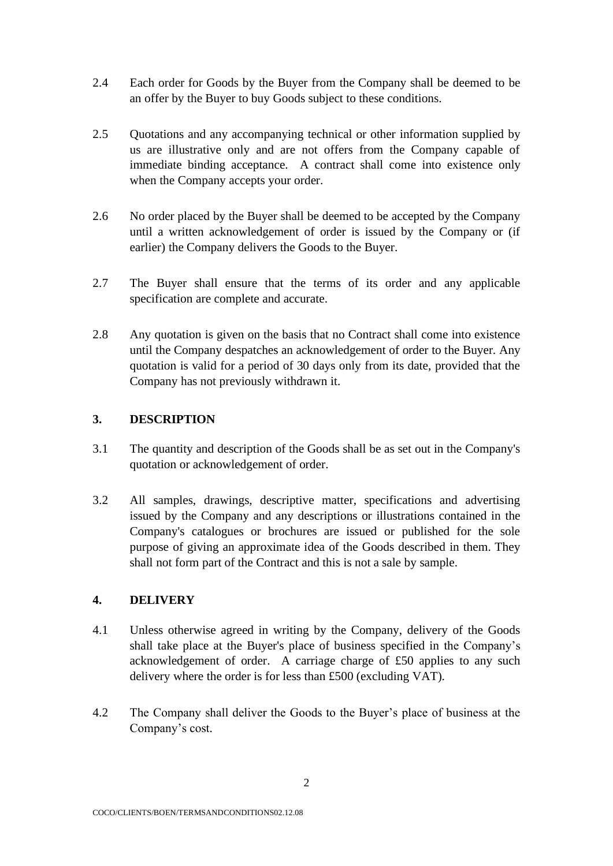- 2.4 Each order for Goods by the Buyer from the Company shall be deemed to be an offer by the Buyer to buy Goods subject to these conditions.
- 2.5 Quotations and any accompanying technical or other information supplied by us are illustrative only and are not offers from the Company capable of immediate binding acceptance. A contract shall come into existence only when the Company accepts your order.
- 2.6 No order placed by the Buyer shall be deemed to be accepted by the Company until a written acknowledgement of order is issued by the Company or (if earlier) the Company delivers the Goods to the Buyer.
- 2.7 The Buyer shall ensure that the terms of its order and any applicable specification are complete and accurate.
- 2.8 Any quotation is given on the basis that no Contract shall come into existence until the Company despatches an acknowledgement of order to the Buyer. Any quotation is valid for a period of 30 days only from its date, provided that the Company has not previously withdrawn it.

## **3. DESCRIPTION**

- 3.1 The quantity and description of the Goods shall be as set out in the Company's quotation or acknowledgement of order.
- 3.2 All samples, drawings, descriptive matter, specifications and advertising issued by the Company and any descriptions or illustrations contained in the Company's catalogues or brochures are issued or published for the sole purpose of giving an approximate idea of the Goods described in them. They shall not form part of the Contract and this is not a sale by sample.

## **4. DELIVERY**

- 4.1 Unless otherwise agreed in writing by the Company, delivery of the Goods shall take place at the Buyer's place of business specified in the Company's acknowledgement of order. A carriage charge of £50 applies to any such delivery where the order is for less than £500 (excluding VAT).
- 4.2 The Company shall deliver the Goods to the Buyer's place of business at the Company's cost.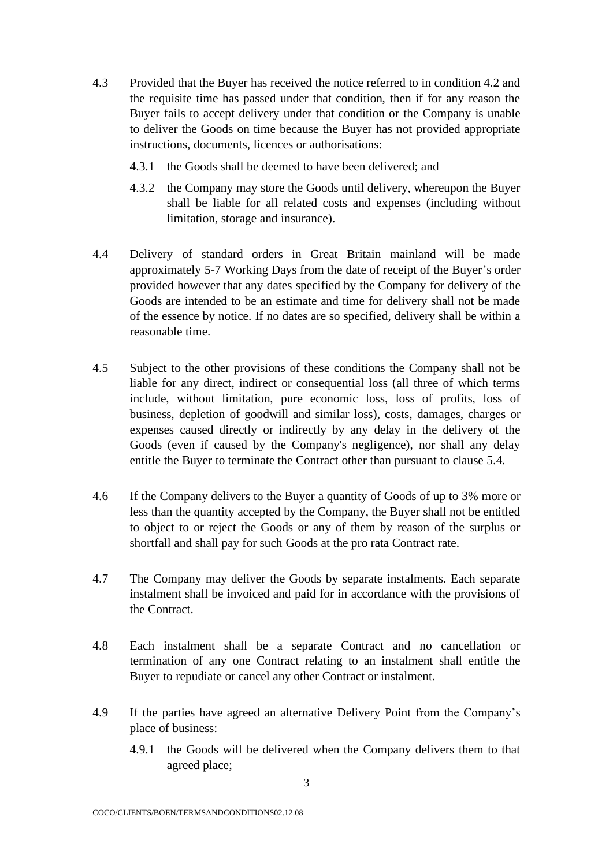- 4.3 Provided that the Buyer has received the notice referred to in condition 4.2 and the requisite time has passed under that condition, then if for any reason the Buyer fails to accept delivery under that condition or the Company is unable to deliver the Goods on time because the Buyer has not provided appropriate instructions, documents, licences or authorisations:
	- 4.3.1 the Goods shall be deemed to have been delivered; and
	- 4.3.2 the Company may store the Goods until delivery, whereupon the Buyer shall be liable for all related costs and expenses (including without limitation, storage and insurance).
- 4.4 Delivery of standard orders in Great Britain mainland will be made approximately 5-7 Working Days from the date of receipt of the Buyer's order provided however that any dates specified by the Company for delivery of the Goods are intended to be an estimate and time for delivery shall not be made of the essence by notice. If no dates are so specified, delivery shall be within a reasonable time.
- 4.5 Subject to the other provisions of these conditions the Company shall not be liable for any direct, indirect or consequential loss (all three of which terms include, without limitation, pure economic loss, loss of profits, loss of business, depletion of goodwill and similar loss), costs, damages, charges or expenses caused directly or indirectly by any delay in the delivery of the Goods (even if caused by the Company's negligence), nor shall any delay entitle the Buyer to terminate the Contract other than pursuant to clause 5.4.
- 4.6 If the Company delivers to the Buyer a quantity of Goods of up to 3% more or less than the quantity accepted by the Company, the Buyer shall not be entitled to object to or reject the Goods or any of them by reason of the surplus or shortfall and shall pay for such Goods at the pro rata Contract rate.
- 4.7 The Company may deliver the Goods by separate instalments. Each separate instalment shall be invoiced and paid for in accordance with the provisions of the Contract.
- 4.8 Each instalment shall be a separate Contract and no cancellation or termination of any one Contract relating to an instalment shall entitle the Buyer to repudiate or cancel any other Contract or instalment.
- 4.9 If the parties have agreed an alternative Delivery Point from the Company's place of business:
	- 4.9.1 the Goods will be delivered when the Company delivers them to that agreed place;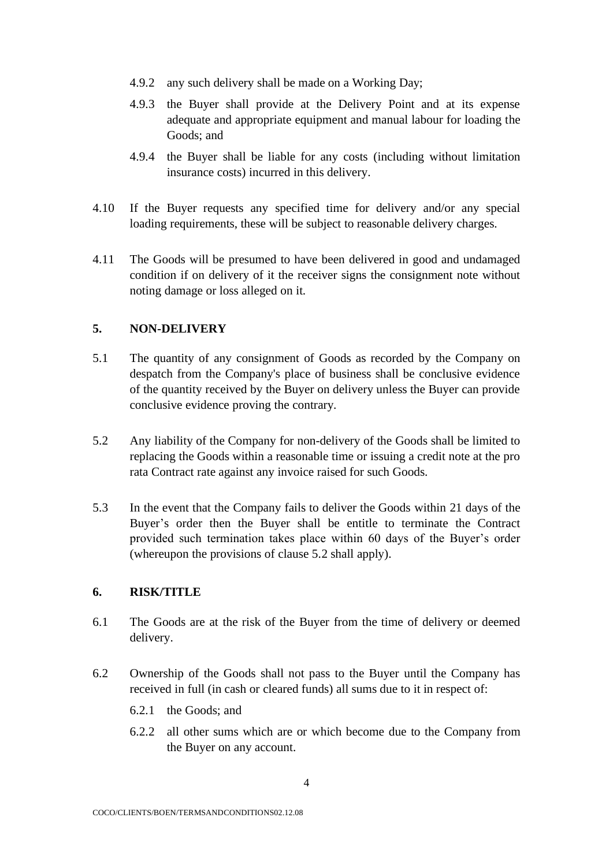- 4.9.2 any such delivery shall be made on a Working Day;
- 4.9.3 the Buyer shall provide at the Delivery Point and at its expense adequate and appropriate equipment and manual labour for loading the Goods; and
- 4.9.4 the Buyer shall be liable for any costs (including without limitation insurance costs) incurred in this delivery.
- 4.10 If the Buyer requests any specified time for delivery and/or any special loading requirements, these will be subject to reasonable delivery charges.
- 4.11 The Goods will be presumed to have been delivered in good and undamaged condition if on delivery of it the receiver signs the consignment note without noting damage or loss alleged on it.

#### **5. NON-DELIVERY**

- 5.1 The quantity of any consignment of Goods as recorded by the Company on despatch from the Company's place of business shall be conclusive evidence of the quantity received by the Buyer on delivery unless the Buyer can provide conclusive evidence proving the contrary.
- 5.2 Any liability of the Company for non-delivery of the Goods shall be limited to replacing the Goods within a reasonable time or issuing a credit note at the pro rata Contract rate against any invoice raised for such Goods.
- 5.3 In the event that the Company fails to deliver the Goods within 21 days of the Buyer's order then the Buyer shall be entitle to terminate the Contract provided such termination takes place within 60 days of the Buyer's order (whereupon the provisions of clause 5.2 shall apply).

#### **6. RISK/TITLE**

- 6.1 The Goods are at the risk of the Buyer from the time of delivery or deemed delivery.
- 6.2 Ownership of the Goods shall not pass to the Buyer until the Company has received in full (in cash or cleared funds) all sums due to it in respect of:
	- 6.2.1 the Goods; and
	- 6.2.2 all other sums which are or which become due to the Company from the Buyer on any account.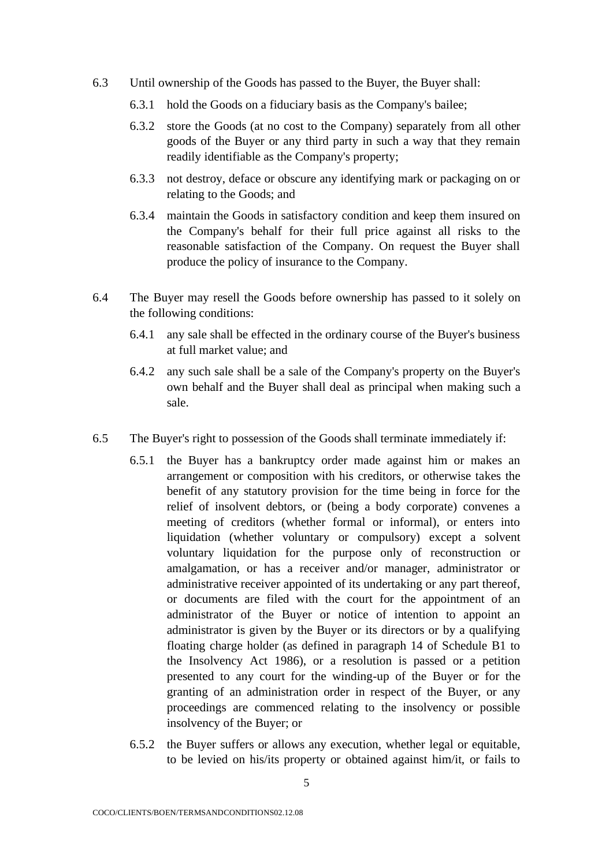- 6.3 Until ownership of the Goods has passed to the Buyer, the Buyer shall:
	- 6.3.1 hold the Goods on a fiduciary basis as the Company's bailee;
	- 6.3.2 store the Goods (at no cost to the Company) separately from all other goods of the Buyer or any third party in such a way that they remain readily identifiable as the Company's property;
	- 6.3.3 not destroy, deface or obscure any identifying mark or packaging on or relating to the Goods; and
	- 6.3.4 maintain the Goods in satisfactory condition and keep them insured on the Company's behalf for their full price against all risks to the reasonable satisfaction of the Company. On request the Buyer shall produce the policy of insurance to the Company.
- 6.4 The Buyer may resell the Goods before ownership has passed to it solely on the following conditions:
	- 6.4.1 any sale shall be effected in the ordinary course of the Buyer's business at full market value; and
	- 6.4.2 any such sale shall be a sale of the Company's property on the Buyer's own behalf and the Buyer shall deal as principal when making such a sale.
- 6.5 The Buyer's right to possession of the Goods shall terminate immediately if:
	- 6.5.1 the Buyer has a bankruptcy order made against him or makes an arrangement or composition with his creditors, or otherwise takes the benefit of any statutory provision for the time being in force for the relief of insolvent debtors, or (being a body corporate) convenes a meeting of creditors (whether formal or informal), or enters into liquidation (whether voluntary or compulsory) except a solvent voluntary liquidation for the purpose only of reconstruction or amalgamation, or has a receiver and/or manager, administrator or administrative receiver appointed of its undertaking or any part thereof, or documents are filed with the court for the appointment of an administrator of the Buyer or notice of intention to appoint an administrator is given by the Buyer or its directors or by a qualifying floating charge holder (as defined in paragraph 14 of Schedule B1 to the Insolvency Act 1986), or a resolution is passed or a petition presented to any court for the winding-up of the Buyer or for the granting of an administration order in respect of the Buyer, or any proceedings are commenced relating to the insolvency or possible insolvency of the Buyer; or
	- 6.5.2 the Buyer suffers or allows any execution, whether legal or equitable, to be levied on his/its property or obtained against him/it, or fails to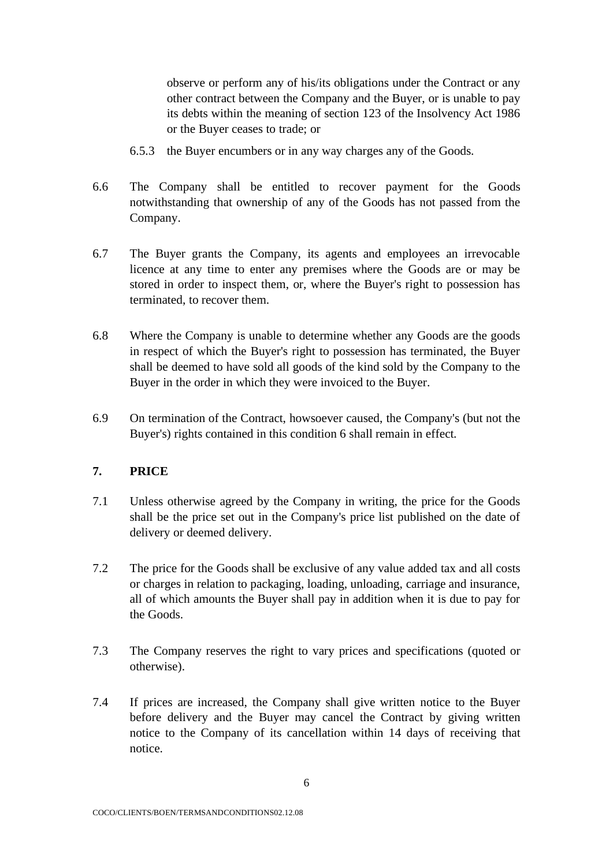observe or perform any of his/its obligations under the Contract or any other contract between the Company and the Buyer, or is unable to pay its debts within the meaning of section 123 of the Insolvency Act 1986 or the Buyer ceases to trade; or

- 6.5.3 the Buyer encumbers or in any way charges any of the Goods.
- 6.6 The Company shall be entitled to recover payment for the Goods notwithstanding that ownership of any of the Goods has not passed from the Company.
- 6.7 The Buyer grants the Company, its agents and employees an irrevocable licence at any time to enter any premises where the Goods are or may be stored in order to inspect them, or, where the Buyer's right to possession has terminated, to recover them.
- 6.8 Where the Company is unable to determine whether any Goods are the goods in respect of which the Buyer's right to possession has terminated, the Buyer shall be deemed to have sold all goods of the kind sold by the Company to the Buyer in the order in which they were invoiced to the Buyer.
- 6.9 On termination of the Contract, howsoever caused, the Company's (but not the Buyer's) rights contained in this condition 6 shall remain in effect.

## **7. PRICE**

- 7.1 Unless otherwise agreed by the Company in writing, the price for the Goods shall be the price set out in the Company's price list published on the date of delivery or deemed delivery.
- 7.2 The price for the Goods shall be exclusive of any value added tax and all costs or charges in relation to packaging, loading, unloading, carriage and insurance, all of which amounts the Buyer shall pay in addition when it is due to pay for the Goods.
- 7.3 The Company reserves the right to vary prices and specifications (quoted or otherwise).
- 7.4 If prices are increased, the Company shall give written notice to the Buyer before delivery and the Buyer may cancel the Contract by giving written notice to the Company of its cancellation within 14 days of receiving that notice.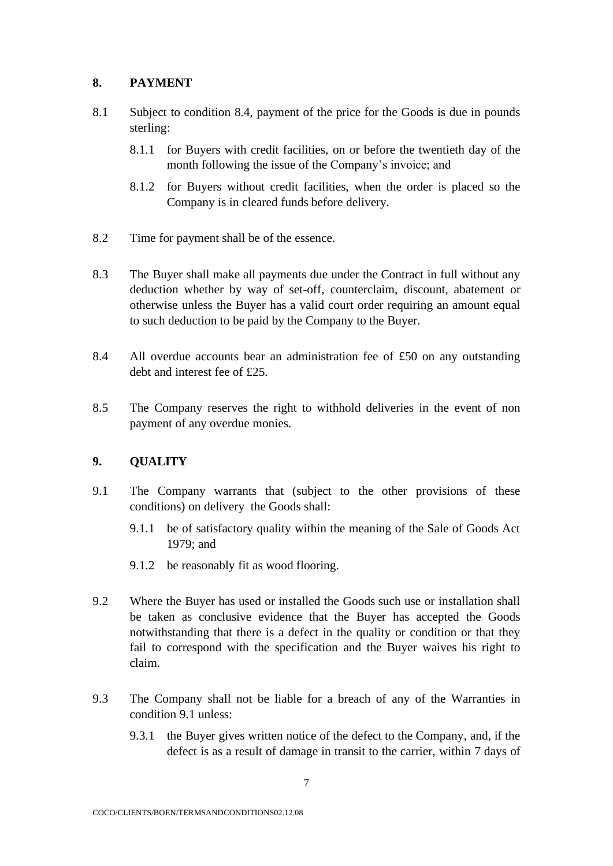# **8. PAYMENT**

- 8.1 Subject to condition 8.4, payment of the price for the Goods is due in pounds sterling:
	- 8.1.1 for Buyers with credit facilities, on or before the twentieth day of the month following the issue of the Company's invoice; and
	- 8.1.2 for Buyers without credit facilities, when the order is placed so the Company is in cleared funds before delivery.
- 8.2 Time for payment shall be of the essence.
- 8.3 The Buyer shall make all payments due under the Contract in full without any deduction whether by way of set-off, counterclaim, discount, abatement or otherwise unless the Buyer has a valid court order requiring an amount equal to such deduction to be paid by the Company to the Buyer.
- 8.4 All overdue accounts bear an administration fee of £50 on any outstanding debt and interest fee of £25.
- 8.5 The Company reserves the right to withhold deliveries in the event of non payment of any overdue monies.

## **9. QUALITY**

- 9.1 The Company warrants that (subject to the other provisions of these conditions) on delivery the Goods shall:
	- 9.1.1 be of satisfactory quality within the meaning of the Sale of Goods Act 1979; and
	- 9.1.2 be reasonably fit as wood flooring.
- 9.2 Where the Buyer has used or installed the Goods such use or installation shall be taken as conclusive evidence that the Buyer has accepted the Goods notwithstanding that there is a defect in the quality or condition or that they fail to correspond with the specification and the Buyer waives his right to claim.
- 9.3 The Company shall not be liable for a breach of any of the Warranties in condition 9.1 unless:
	- 9.3.1 the Buyer gives written notice of the defect to the Company, and, if the defect is as a result of damage in transit to the carrier, within 7 days of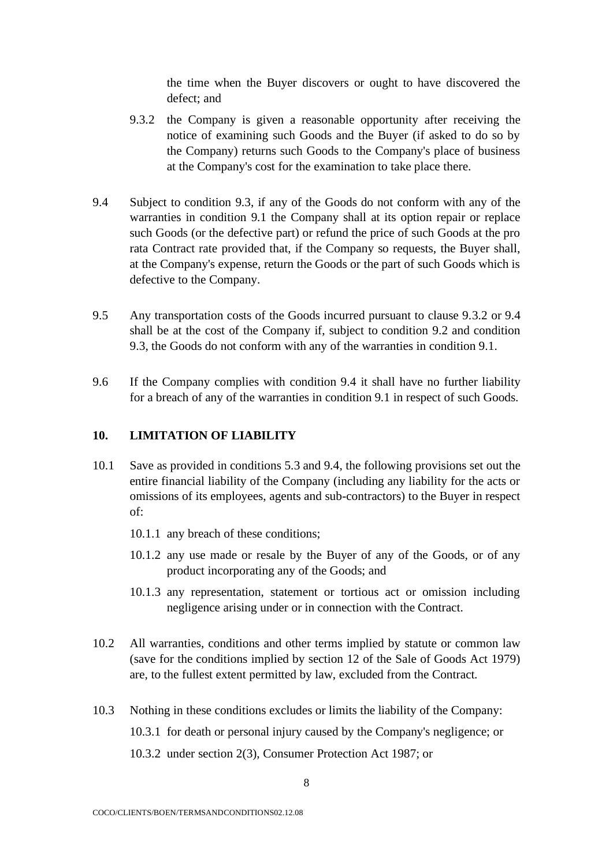the time when the Buyer discovers or ought to have discovered the defect; and

- 9.3.2 the Company is given a reasonable opportunity after receiving the notice of examining such Goods and the Buyer (if asked to do so by the Company) returns such Goods to the Company's place of business at the Company's cost for the examination to take place there.
- 9.4 Subject to condition 9.3, if any of the Goods do not conform with any of the warranties in condition 9.1 the Company shall at its option repair or replace such Goods (or the defective part) or refund the price of such Goods at the pro rata Contract rate provided that, if the Company so requests, the Buyer shall, at the Company's expense, return the Goods or the part of such Goods which is defective to the Company.
- 9.5 Any transportation costs of the Goods incurred pursuant to clause 9.3.2 or 9.4 shall be at the cost of the Company if, subject to condition 9.2 and condition 9.3, the Goods do not conform with any of the warranties in condition 9.1.
- 9.6 If the Company complies with condition 9.4 it shall have no further liability for a breach of any of the warranties in condition 9.1 in respect of such Goods.

#### **10. LIMITATION OF LIABILITY**

- 10.1 Save as provided in conditions 5.3 and 9.4, the following provisions set out the entire financial liability of the Company (including any liability for the acts or omissions of its employees, agents and sub-contractors) to the Buyer in respect of:
	- 10.1.1 any breach of these conditions;
	- 10.1.2 any use made or resale by the Buyer of any of the Goods, or of any product incorporating any of the Goods; and
	- 10.1.3 any representation, statement or tortious act or omission including negligence arising under or in connection with the Contract.
- 10.2 All warranties, conditions and other terms implied by statute or common law (save for the conditions implied by section 12 of the Sale of Goods Act 1979) are, to the fullest extent permitted by law, excluded from the Contract.
- 10.3 Nothing in these conditions excludes or limits the liability of the Company: 10.3.1 for death or personal injury caused by the Company's negligence; or 10.3.2 under section 2(3), Consumer Protection Act 1987; or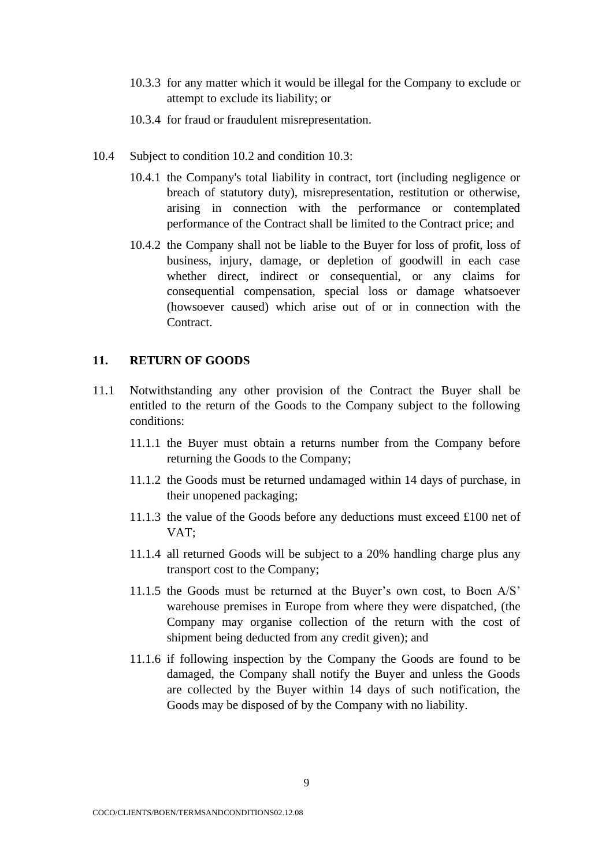- 10.3.3 for any matter which it would be illegal for the Company to exclude or attempt to exclude its liability; or
- 10.3.4 for fraud or fraudulent misrepresentation.
- 10.4 Subject to condition 10.2 and condition 10.3:
	- 10.4.1 the Company's total liability in contract, tort (including negligence or breach of statutory duty), misrepresentation, restitution or otherwise, arising in connection with the performance or contemplated performance of the Contract shall be limited to the Contract price; and
	- 10.4.2 the Company shall not be liable to the Buyer for loss of profit, loss of business, injury, damage, or depletion of goodwill in each case whether direct, indirect or consequential, or any claims for consequential compensation, special loss or damage whatsoever (howsoever caused) which arise out of or in connection with the Contract.

#### **11. RETURN OF GOODS**

- 11.1 Notwithstanding any other provision of the Contract the Buyer shall be entitled to the return of the Goods to the Company subject to the following conditions:
	- 11.1.1 the Buyer must obtain a returns number from the Company before returning the Goods to the Company;
	- 11.1.2 the Goods must be returned undamaged within 14 days of purchase, in their unopened packaging;
	- 11.1.3 the value of the Goods before any deductions must exceed £100 net of VAT;
	- 11.1.4 all returned Goods will be subject to a 20% handling charge plus any transport cost to the Company;
	- 11.1.5 the Goods must be returned at the Buyer's own cost, to Boen A/S' warehouse premises in Europe from where they were dispatched, (the Company may organise collection of the return with the cost of shipment being deducted from any credit given); and
	- 11.1.6 if following inspection by the Company the Goods are found to be damaged, the Company shall notify the Buyer and unless the Goods are collected by the Buyer within 14 days of such notification, the Goods may be disposed of by the Company with no liability.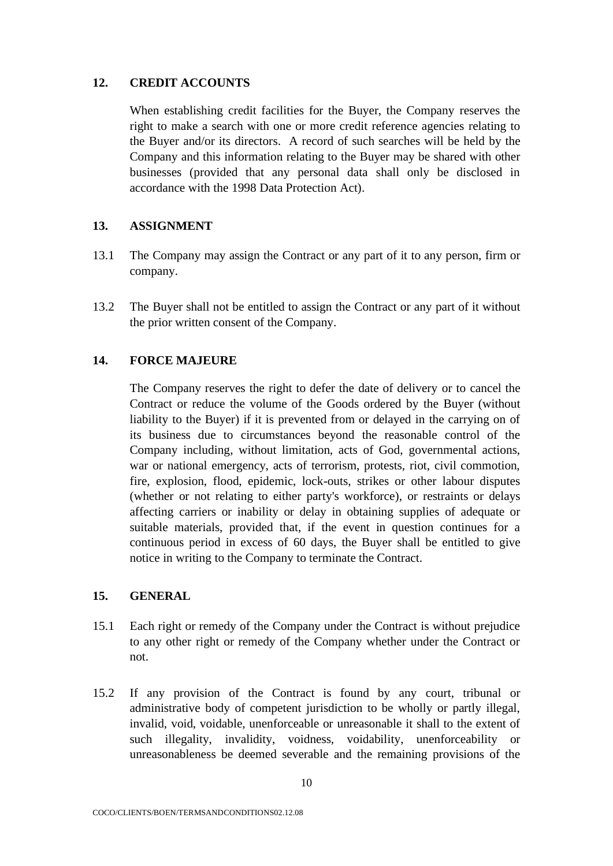## **12. CREDIT ACCOUNTS**

When establishing credit facilities for the Buyer, the Company reserves the right to make a search with one or more credit reference agencies relating to the Buyer and/or its directors. A record of such searches will be held by the Company and this information relating to the Buyer may be shared with other businesses (provided that any personal data shall only be disclosed in accordance with the 1998 Data Protection Act).

## **13. ASSIGNMENT**

- 13.1 The Company may assign the Contract or any part of it to any person, firm or company.
- 13.2 The Buyer shall not be entitled to assign the Contract or any part of it without the prior written consent of the Company.

# **14. FORCE MAJEURE**

The Company reserves the right to defer the date of delivery or to cancel the Contract or reduce the volume of the Goods ordered by the Buyer (without liability to the Buyer) if it is prevented from or delayed in the carrying on of its business due to circumstances beyond the reasonable control of the Company including, without limitation, acts of God, governmental actions, war or national emergency, acts of terrorism, protests, riot, civil commotion, fire, explosion, flood, epidemic, lock-outs, strikes or other labour disputes (whether or not relating to either party's workforce), or restraints or delays affecting carriers or inability or delay in obtaining supplies of adequate or suitable materials, provided that, if the event in question continues for a continuous period in excess of 60 days, the Buyer shall be entitled to give notice in writing to the Company to terminate the Contract.

## **15. GENERAL**

- 15.1 Each right or remedy of the Company under the Contract is without prejudice to any other right or remedy of the Company whether under the Contract or not.
- 15.2 If any provision of the Contract is found by any court, tribunal or administrative body of competent jurisdiction to be wholly or partly illegal, invalid, void, voidable, unenforceable or unreasonable it shall to the extent of such illegality, invalidity, voidness, voidability, unenforceability or unreasonableness be deemed severable and the remaining provisions of the